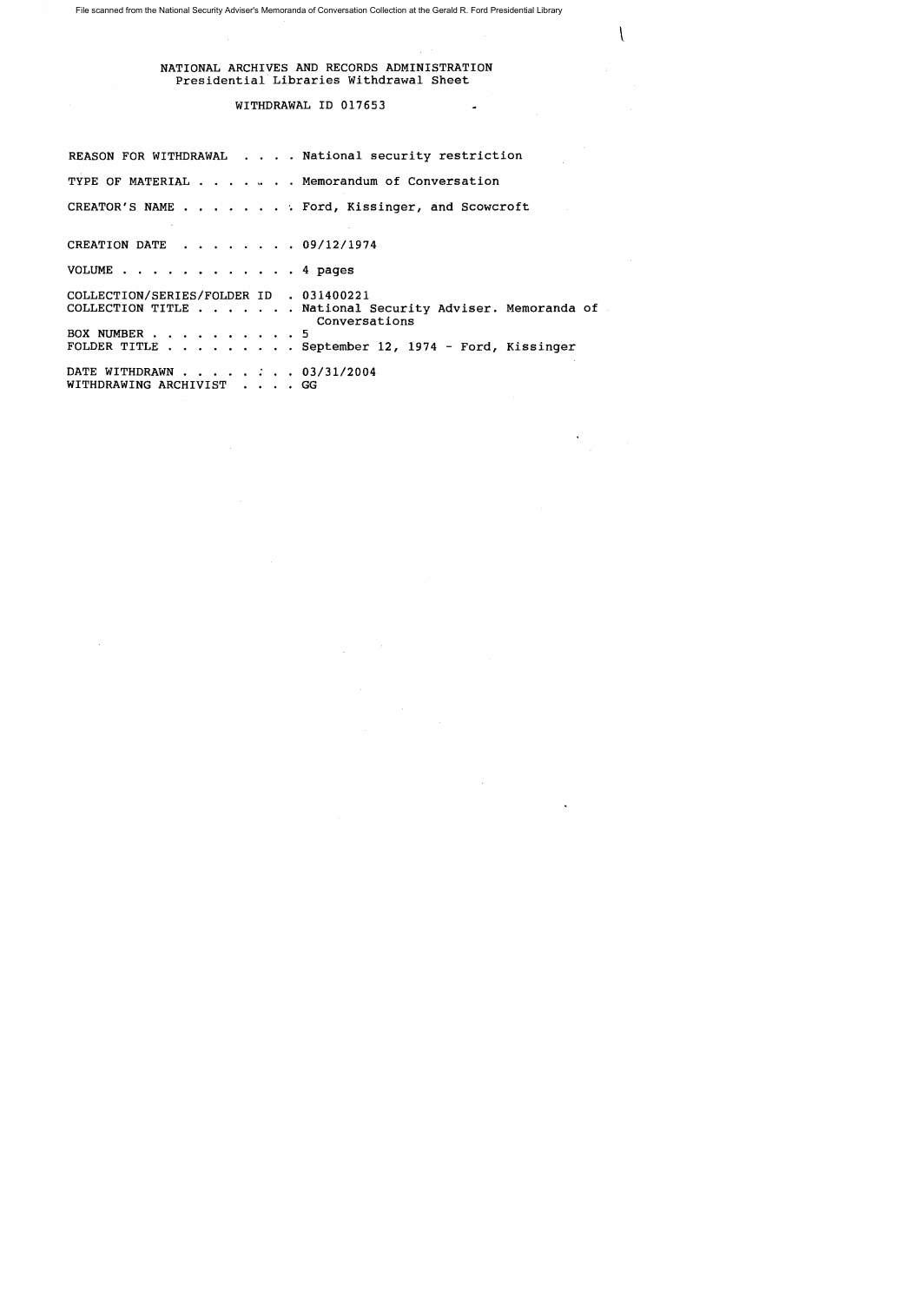File scanned from the National Security Adviser's Memoranda of Conversation Collection at the Gerald R. Ford Presidential Library

NATIONAL ARCHIVES AND RECORDS ADMINISTRATION Presidential Libraries Withdrawal Sheet

## WITHDRAWAL ID 017653

REASON FOR WITHDRAWAL . . . . National security restriction TYPE OF MATERIAL . . . . . Memorandum of Conversation CREATOR'S NAME . . . . . . . . Ford, Kissinger, and Scowcroft CREATION DATE . . . . . . . 09/12/1974 VOLUME . . . . . . . . . . . . 4 pages COLLECTION/SERIES/FOLDER ID . 031400221 COLLECTION TITLE . . . . . . National Security Adviser. Memoranda of BOX NUMBER . . . . . . FOLDER TITLE . September 12, 1974 - Ford, Kissinger DATE WITHDRAWN . . . . . . . 03/31/2004 WITHDRAWING ARCHIVIST Conversations 5 • GG